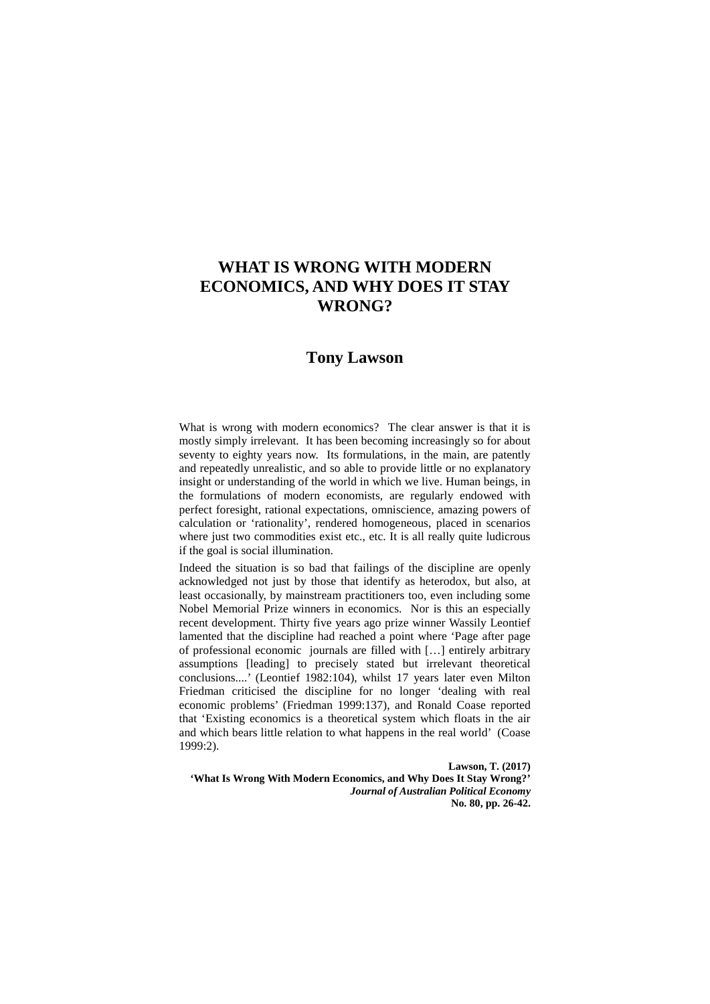# **WHAT IS WRONG WITH MODERN ECONOMICS, AND WHY DOES IT STAY WRONG?**

## **Tony Lawson**

What is wrong with modern economics? The clear answer is that it is mostly simply irrelevant. It has been becoming increasingly so for about seventy to eighty years now. Its formulations, in the main, are patently and repeatedly unrealistic, and so able to provide little or no explanatory insight or understanding of the world in which we live. Human beings, in the formulations of modern economists, are regularly endowed with perfect foresight, rational expectations, omniscience, amazing powers of calculation or 'rationality', rendered homogeneous, placed in scenarios where just two commodities exist etc., etc. It is all really quite ludicrous if the goal is social illumination.

Indeed the situation is so bad that failings of the discipline are openly acknowledged not just by those that identify as heterodox, but also, at least occasionally, by mainstream practitioners too, even including some Nobel Memorial Prize winners in economics. Nor is this an especially recent development. Thirty five years ago prize winner Wassily Leontief lamented that the discipline had reached a point where 'Page after page of professional economic journals are filled with […] entirely arbitrary assumptions [leading] to precisely stated but irrelevant theoretical conclusions....' (Leontief 1982:104), whilst 17 years later even Milton Friedman criticised the discipline for no longer 'dealing with real economic problems' (Friedman 1999:137), and Ronald Coase reported that 'Existing economics is a theoretical system which floats in the air and which bears little relation to what happens in the real world' (Coase 1999:2).

**Lawson, T. (2017)** 

**'What Is Wrong With Modern Economics, and Why Does It Stay Wrong?'**  *Journal of Australian Political Economy* **No. 80, pp. 26-42.**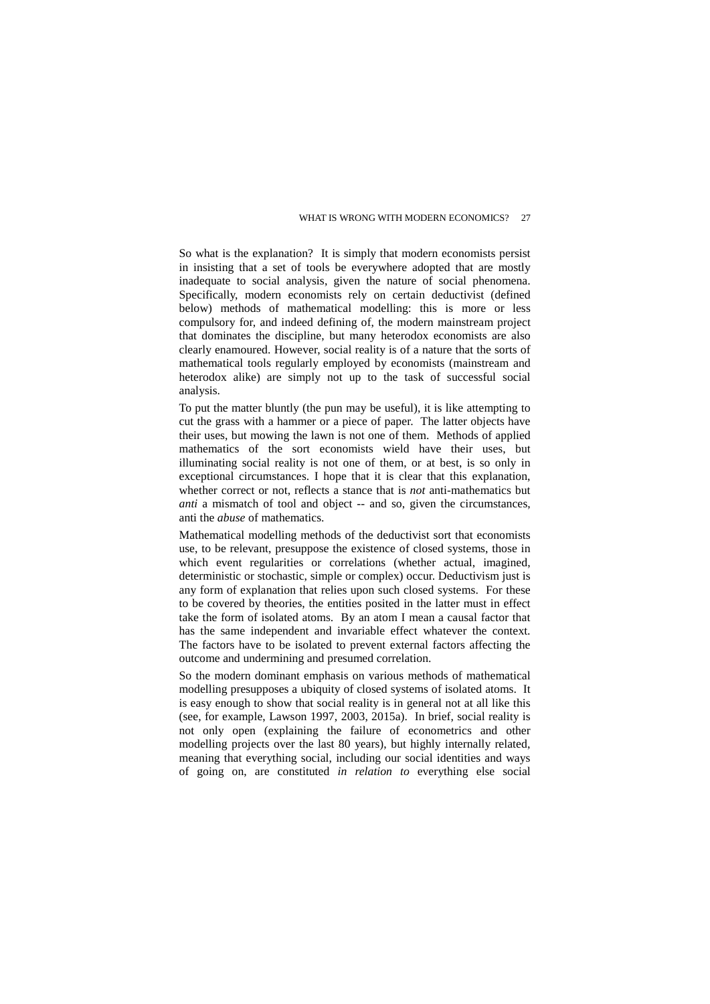So what is the explanation? It is simply that modern economists persist in insisting that a set of tools be everywhere adopted that are mostly inadequate to social analysis, given the nature of social phenomena. Specifically, modern economists rely on certain deductivist (defined below) methods of mathematical modelling: this is more or less compulsory for, and indeed defining of, the modern mainstream project that dominates the discipline, but many heterodox economists are also clearly enamoured. However, social reality is of a nature that the sorts of mathematical tools regularly employed by economists (mainstream and heterodox alike) are simply not up to the task of successful social analysis.

To put the matter bluntly (the pun may be useful), it is like attempting to cut the grass with a hammer or a piece of paper. The latter objects have their uses, but mowing the lawn is not one of them. Methods of applied mathematics of the sort economists wield have their uses, but illuminating social reality is not one of them, or at best, is so only in exceptional circumstances. I hope that it is clear that this explanation, whether correct or not, reflects a stance that is *not* anti-mathematics but *anti* a mismatch of tool and object -- and so, given the circumstances, anti the *abuse* of mathematics.

Mathematical modelling methods of the deductivist sort that economists use, to be relevant, presuppose the existence of closed systems, those in which event regularities or correlations (whether actual, imagined, deterministic or stochastic, simple or complex) occur. Deductivism just is any form of explanation that relies upon such closed systems. For these to be covered by theories, the entities posited in the latter must in effect take the form of isolated atoms. By an atom I mean a causal factor that has the same independent and invariable effect whatever the context. The factors have to be isolated to prevent external factors affecting the outcome and undermining and presumed correlation.

So the modern dominant emphasis on various methods of mathematical modelling presupposes a ubiquity of closed systems of isolated atoms. It is easy enough to show that social reality is in general not at all like this (see, for example, Lawson 1997, 2003, 2015a). In brief, social reality is not only open (explaining the failure of econometrics and other modelling projects over the last 80 years), but highly internally related, meaning that everything social, including our social identities and ways of going on, are constituted *in relation to* everything else social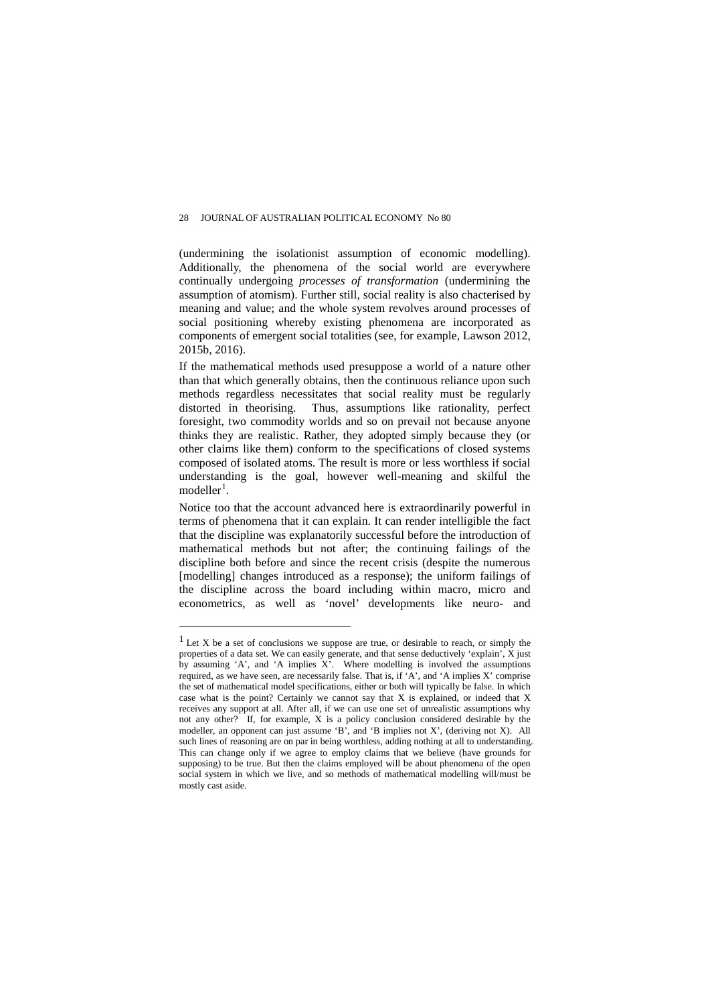(undermining the isolationist assumption of economic modelling). Additionally, the phenomena of the social world are everywhere continually undergoing *processes of transformation* (undermining the assumption of atomism). Further still, social reality is also chacterised by meaning and value; and the whole system revolves around processes of social positioning whereby existing phenomena are incorporated as components of emergent social totalities (see, for example, Lawson 2012, 2015b, 2016).

If the mathematical methods used presuppose a world of a nature other than that which generally obtains, then the continuous reliance upon such methods regardless necessitates that social reality must be regularly distorted in theorising. Thus, assumptions like rationality, perfect foresight, two commodity worlds and so on prevail not because anyone thinks they are realistic. Rather, they adopted simply because they (or other claims like them) conform to the specifications of closed systems composed of isolated atoms. The result is more or less worthless if social understanding is the goal, however well-meaning and skilful the modeller<sup>[1](#page-2-0)</sup>.

Notice too that the account advanced here is extraordinarily powerful in terms of phenomena that it can explain. It can render intelligible the fact that the discipline was explanatorily successful before the introduction of mathematical methods but not after; the continuing failings of the discipline both before and since the recent crisis (despite the numerous [modelling] changes introduced as a response); the uniform failings of the discipline across the board including within macro, micro and econometrics, as well as 'novel' developments like neuro- and

<span id="page-2-0"></span> $<sup>1</sup>$  Let X be a set of conclusions we suppose are true, or desirable to reach, or simply the</sup> properties of a data set. We can easily generate, and that sense deductively 'explain', X just by assuming 'A', and 'A implies X'. Where modelling is involved the assumptions required, as we have seen, are necessarily false. That is, if 'A', and 'A implies X' comprise the set of mathematical model specifications, either or both will typically be false. In which case what is the point? Certainly we cannot say that X is explained, or indeed that X receives any support at all. After all, if we can use one set of unrealistic assumptions why not any other? If, for example, X is a policy conclusion considered desirable by the modeller, an opponent can just assume 'B', and 'B implies not X', (deriving not X). All such lines of reasoning are on par in being worthless, adding nothing at all to understanding. This can change only if we agree to employ claims that we believe (have grounds for supposing) to be true. But then the claims employed will be about phenomena of the open social system in which we live, and so methods of mathematical modelling will/must be mostly cast aside.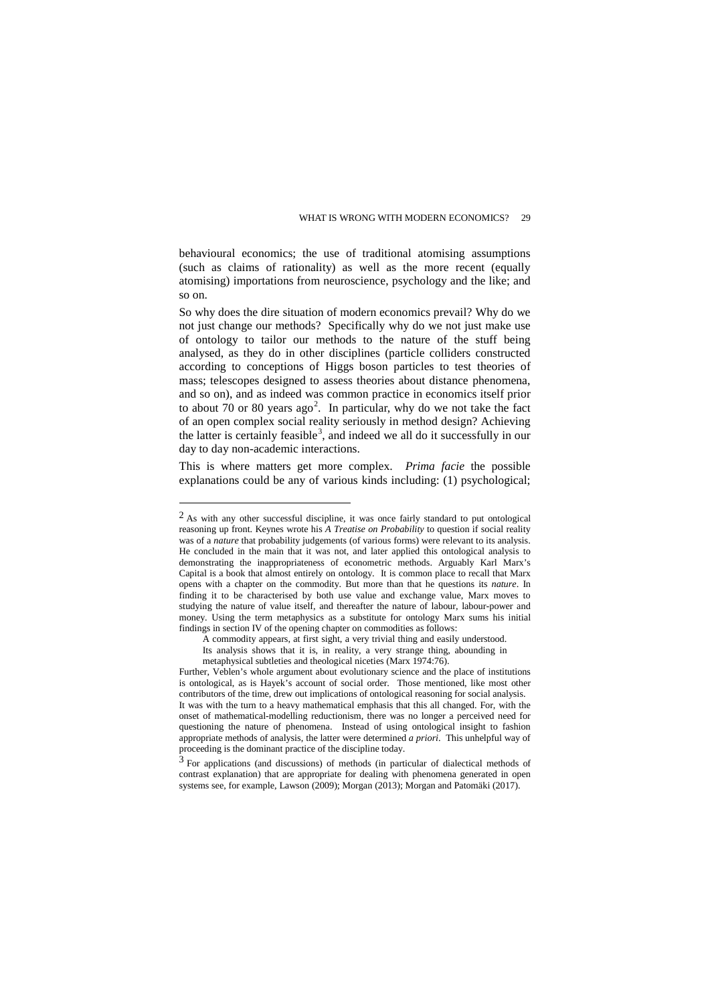behavioural economics; the use of traditional atomising assumptions (such as claims of rationality) as well as the more recent (equally atomising) importations from neuroscience, psychology and the like; and so on.

So why does the dire situation of modern economics prevail? Why do we not just change our methods? Specifically why do we not just make use of ontology to tailor our methods to the nature of the stuff being analysed, as they do in other disciplines (particle colliders constructed according to conceptions of Higgs boson particles to test theories of mass; telescopes designed to assess theories about distance phenomena, and so on), and as indeed was common practice in economics itself prior to about 70 or 80 years ago<sup>[2](#page-3-0)</sup>. In particular, why do we not take the fact of an open complex social reality seriously in method design? Achieving the latter is certainly feasible<sup>[3](#page-3-1)</sup>, and indeed we all do it successfully in our day to day non-academic interactions.

This is where matters get more complex. *Prima facie* the possible explanations could be any of various kinds including: (1) psychological;

<span id="page-3-0"></span><sup>2</sup> As with any other successful discipline, it was once fairly standard to put ontological reasoning up front. Keynes wrote his *A Treatise on Probability* to question if social reality was of a *nature* that probability judgements (of various forms) were relevant to its analysis. He concluded in the main that it was not, and later applied this ontological analysis to demonstrating the inappropriateness of econometric methods. Arguably Karl Marx's Capital is a book that almost entirely on ontology. It is common place to recall that Marx opens with a chapter on the commodity. But more than that he questions its *nature*. In finding it to be characterised by both use value and exchange value, Marx moves to studying the nature of value itself, and thereafter the nature of labour, labour-power and money. Using the term metaphysics as a substitute for ontology Marx sums his initial findings in section IV of the opening chapter on commodities as follows:

A commodity appears, at first sight, a very trivial thing and easily understood. Its analysis shows that it is, in reality, a very strange thing, abounding in

metaphysical subtleties and theological niceties (Marx 1974:76).

Further, Veblen's whole argument about evolutionary science and the place of institutions is ontological, as is Hayek's account of social order. Those mentioned, like most other contributors of the time, drew out implications of ontological reasoning for social analysis. It was with the turn to a heavy mathematical emphasis that this all changed. For, with the onset of mathematical-modelling reductionism, there was no longer a perceived need for questioning the nature of phenomena. Instead of using ontological insight to fashion appropriate methods of analysis, the latter were determined *a priori*. This unhelpful way of proceeding is the dominant practice of the discipline today.

<span id="page-3-1"></span><sup>3</sup> For applications (and discussions) of methods (in particular of dialectical methods of contrast explanation) that are appropriate for dealing with phenomena generated in open systems see, for example, Lawson (2009); Morgan (2013); Morgan and Patomäki (2017).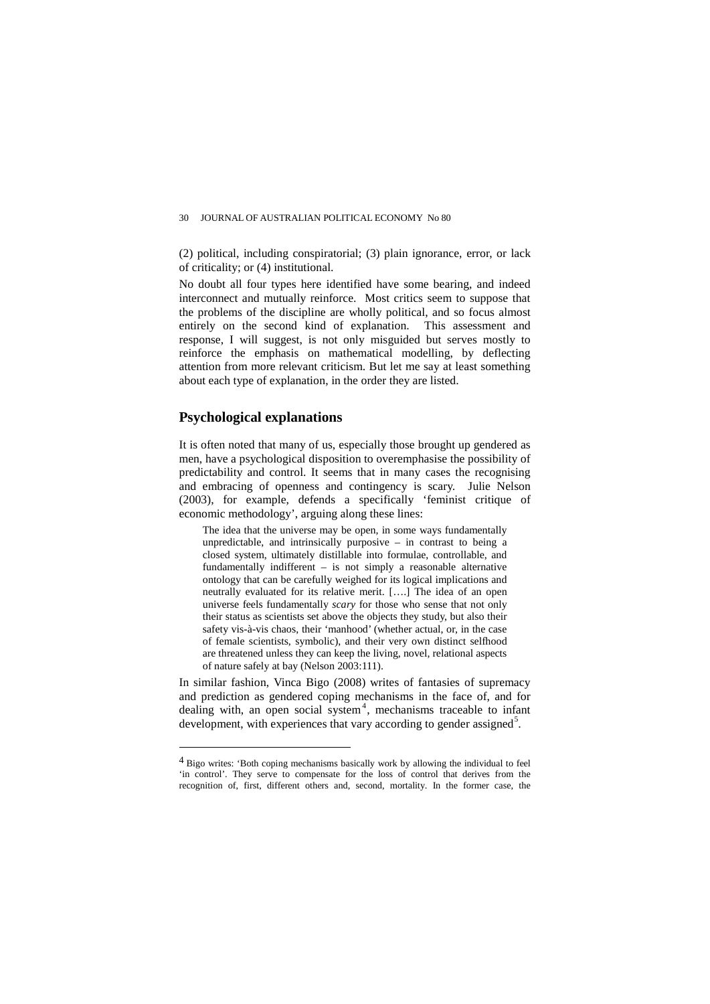(2) political, including conspiratorial; (3) plain ignorance, error, or lack of criticality; or (4) institutional.

No doubt all four types here identified have some bearing, and indeed interconnect and mutually reinforce. Most critics seem to suppose that the problems of the discipline are wholly political, and so focus almost entirely on the second kind of explanation. This assessment and response, I will suggest, is not only misguided but serves mostly to reinforce the emphasis on mathematical modelling, by deflecting attention from more relevant criticism. But let me say at least something about each type of explanation, in the order they are listed.

### **Psychological explanations**

 $\overline{a}$ 

It is often noted that many of us, especially those brought up gendered as men, have a psychological disposition to overemphasise the possibility of predictability and control. It seems that in many cases the recognising and embracing of openness and contingency is scary. Julie Nelson (2003), for example, defends a specifically 'feminist critique of economic methodology', arguing along these lines:

The idea that the universe may be open, in some ways fundamentally unpredictable, and intrinsically purposive – in contrast to being a closed system, ultimately distillable into formulae, controllable, and fundamentally indifferent – is not simply a reasonable alternative ontology that can be carefully weighed for its logical implications and neutrally evaluated for its relative merit. [….] The idea of an open universe feels fundamentally *scary* for those who sense that not only their status as scientists set above the objects they study, but also their safety vis-à-vis chaos, their 'manhood' (whether actual, or, in the case of female scientists, symbolic), and their very own distinct selfhood are threatened unless they can keep the living, novel, relational aspects of nature safely at bay (Nelson 2003:111).

In similar fashion, Vinca Bigo (2008) writes of fantasies of supremacy and prediction as gendered coping mechanisms in the face of, and for dealing with, an open social system<sup>[4](#page-4-0)</sup>, mechanisms traceable to infant development, with experiences that vary according to gender assigned<sup>[5](#page-4-1)</sup>.

<span id="page-4-1"></span><span id="page-4-0"></span><sup>4</sup> Bigo writes: 'Both coping mechanisms basically work by allowing the individual to feel 'in control'. They serve to compensate for the loss of control that derives from the recognition of, first, different others and, second, mortality. In the former case, the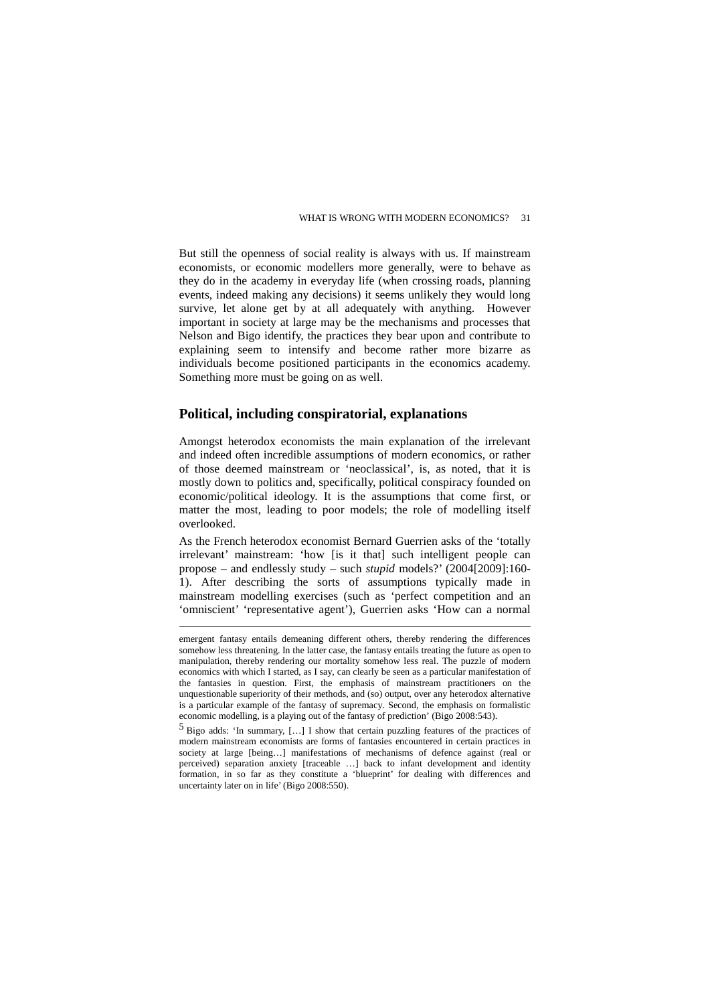But still the openness of social reality is always with us. If mainstream economists, or economic modellers more generally, were to behave as they do in the academy in everyday life (when crossing roads, planning events, indeed making any decisions) it seems unlikely they would long survive, let alone get by at all adequately with anything. However important in society at large may be the mechanisms and processes that Nelson and Bigo identify, the practices they bear upon and contribute to explaining seem to intensify and become rather more bizarre as individuals become positioned participants in the economics academy. Something more must be going on as well.

### **Political, including conspiratorial, explanations**

Amongst heterodox economists the main explanation of the irrelevant and indeed often incredible assumptions of modern economics, or rather of those deemed mainstream or 'neoclassical', is, as noted, that it is mostly down to politics and, specifically, political conspiracy founded on economic/political ideology. It is the assumptions that come first, or matter the most, leading to poor models; the role of modelling itself overlooked.

As the French heterodox economist Bernard Guerrien asks of the 'totally irrelevant' mainstream: 'how [is it that] such intelligent people can propose – and endlessly study – such *stupid* models?' (2004[2009]:160- 1). After describing the sorts of assumptions typically made in mainstream modelling exercises (such as 'perfect competition and an 'omniscient' 'representative agent'), Guerrien asks 'How can a normal

 $\overline{a}$ 

5 Bigo adds: 'In summary, […] I show that certain puzzling features of the practices of modern mainstream economists are forms of fantasies encountered in certain practices in society at large [being…] manifestations of mechanisms of defence against (real or perceived) separation anxiety [traceable …] back to infant development and identity formation, in so far as they constitute a 'blueprint' for dealing with differences and uncertainty later on in life' (Bigo 2008:550).

emergent fantasy entails demeaning different others, thereby rendering the differences somehow less threatening. In the latter case, the fantasy entails treating the future as open to manipulation, thereby rendering our mortality somehow less real. The puzzle of modern economics with which I started, as I say, can clearly be seen as a particular manifestation of the fantasies in question. First, the emphasis of mainstream practitioners on the unquestionable superiority of their methods, and (so) output, over any heterodox alternative is a particular example of the fantasy of supremacy. Second, the emphasis on formalistic economic modelling, is a playing out of the fantasy of prediction' (Bigo 2008:543).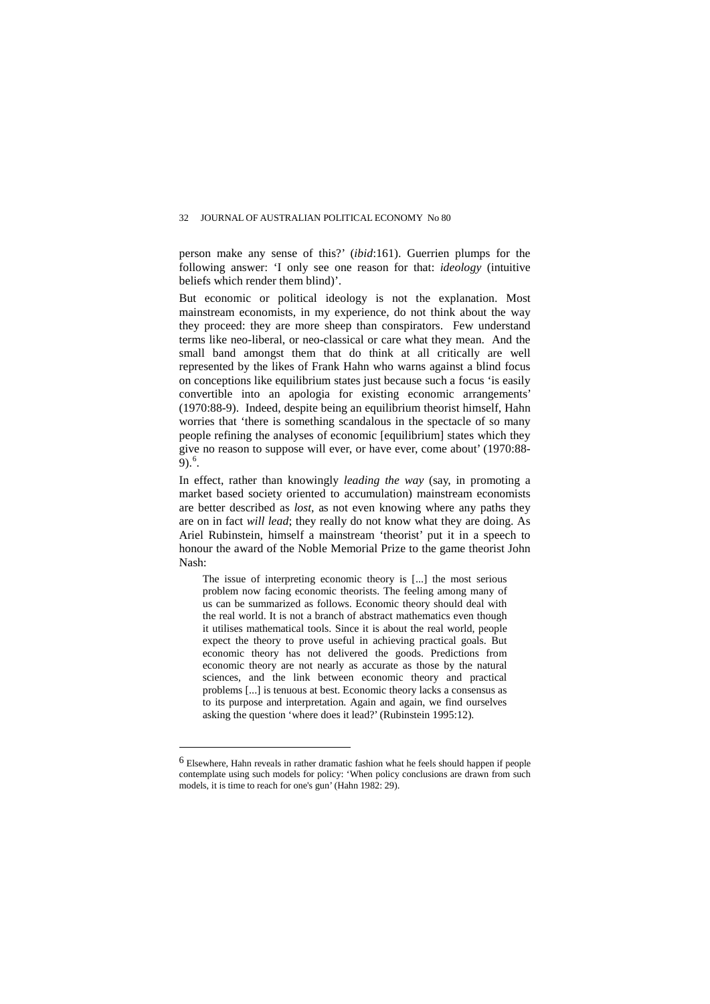person make any sense of this?' (*ibid*:161). Guerrien plumps for the following answer: 'I only see one reason for that: *ideology* (intuitive beliefs which render them blind)'.

But economic or political ideology is not the explanation. Most mainstream economists, in my experience, do not think about the way they proceed: they are more sheep than conspirators. Few understand terms like neo-liberal, or neo-classical or care what they mean. And the small band amongst them that do think at all critically are well represented by the likes of Frank Hahn who warns against a blind focus on conceptions like equilibrium states just because such a focus 'is easily convertible into an apologia for existing economic arrangements' (1970:88-9). Indeed, despite being an equilibrium theorist himself, Hahn worries that 'there is something scandalous in the spectacle of so many people refining the analyses of economic [equilibrium] states which they give no reason to suppose will ever, or have ever, come about' (1970:88- 9). $^6$  $^6$ .

In effect, rather than knowingly *leading the way* (say, in promoting a market based society oriented to accumulation) mainstream economists are better described as *lost,* as not even knowing where any paths they are on in fact *will lead*; they really do not know what they are doing. As Ariel Rubinstein, himself a mainstream 'theorist' put it in a speech to honour the award of the Noble Memorial Prize to the game theorist John Nash:

The issue of interpreting economic theory is [...] the most serious problem now facing economic theorists. The feeling among many of us can be summarized as follows. Economic theory should deal with the real world. It is not a branch of abstract mathematics even though it utilises mathematical tools. Since it is about the real world, people expect the theory to prove useful in achieving practical goals. But economic theory has not delivered the goods. Predictions from economic theory are not nearly as accurate as those by the natural sciences, and the link between economic theory and practical problems [...] is tenuous at best. Economic theory lacks a consensus as to its purpose and interpretation. Again and again, we find ourselves asking the question 'where does it lead?' (Rubinstein 1995:12).

<span id="page-6-0"></span><sup>6</sup> Elsewhere, Hahn reveals in rather dramatic fashion what he feels should happen if people contemplate using such models for policy: 'When policy conclusions are drawn from such models, it is time to reach for one's gun' (Hahn 1982: 29).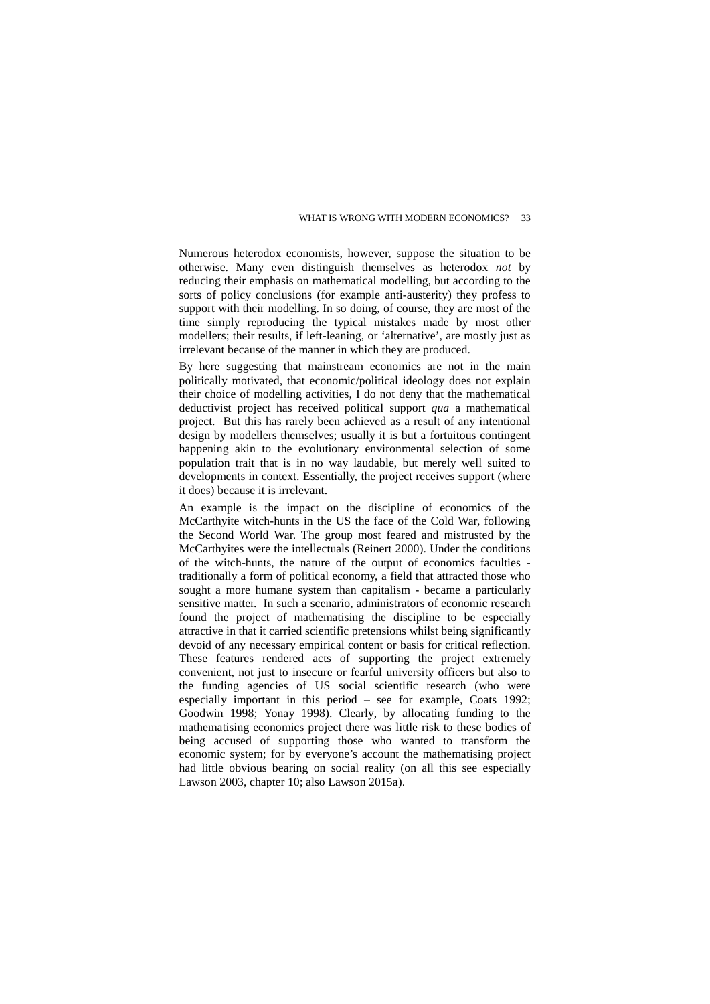Numerous heterodox economists, however, suppose the situation to be otherwise. Many even distinguish themselves as heterodox *not* by reducing their emphasis on mathematical modelling, but according to the sorts of policy conclusions (for example anti-austerity) they profess to support with their modelling. In so doing, of course, they are most of the time simply reproducing the typical mistakes made by most other modellers; their results, if left-leaning, or 'alternative', are mostly just as irrelevant because of the manner in which they are produced.

By here suggesting that mainstream economics are not in the main politically motivated, that economic/political ideology does not explain their choice of modelling activities, I do not deny that the mathematical deductivist project has received political support *qua* a mathematical project. But this has rarely been achieved as a result of any intentional design by modellers themselves; usually it is but a fortuitous contingent happening akin to the evolutionary environmental selection of some population trait that is in no way laudable, but merely well suited to developments in context. Essentially, the project receives support (where it does) because it is irrelevant.

An example is the impact on the discipline of economics of the McCarthyite witch-hunts in the US the face of the Cold War, following the Second World War. The group most feared and mistrusted by the McCarthyites were the intellectuals (Reinert 2000). Under the conditions of the witch-hunts, the nature of the output of economics faculties traditionally a form of political economy, a field that attracted those who sought a more humane system than capitalism - became a particularly sensitive matter. In such a scenario, administrators of economic research found the project of mathematising the discipline to be especially attractive in that it carried scientific pretensions whilst being significantly devoid of any necessary empirical content or basis for critical reflection. These features rendered acts of supporting the project extremely convenient, not just to insecure or fearful university officers but also to the funding agencies of US social scientific research (who were especially important in this period – see for example, Coats 1992; Goodwin 1998; Yonay 1998). Clearly, by allocating funding to the mathematising economics project there was little risk to these bodies of being accused of supporting those who wanted to transform the economic system; for by everyone's account the mathematising project had little obvious bearing on social reality (on all this see especially Lawson 2003, chapter 10; also Lawson 2015a).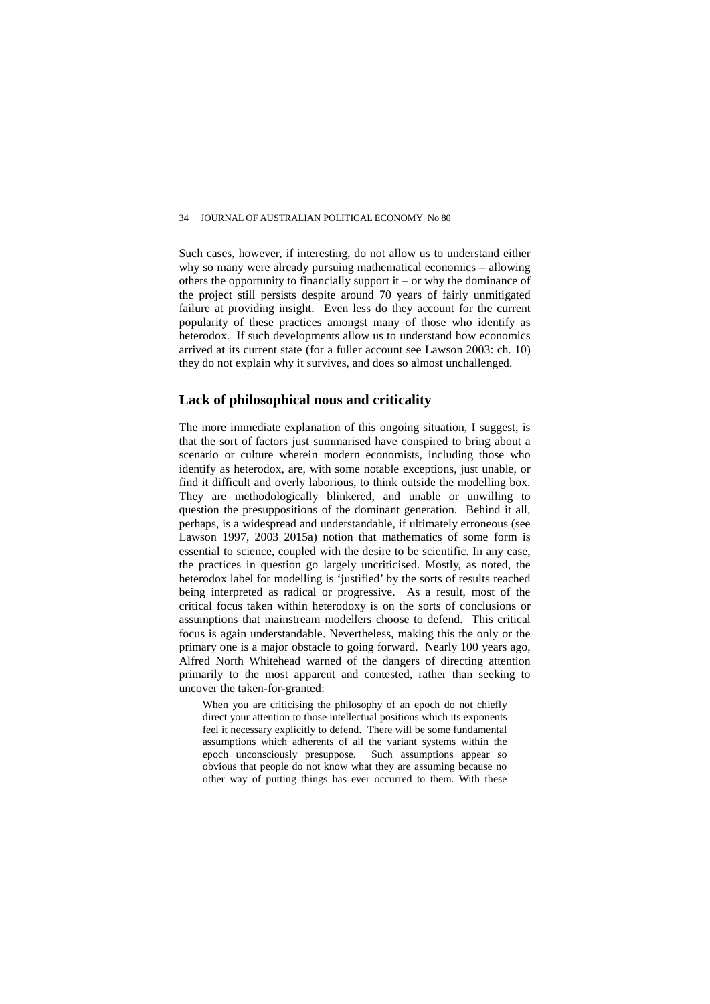Such cases, however, if interesting, do not allow us to understand either why so many were already pursuing mathematical economics – allowing others the opportunity to financially support it – or why the dominance of the project still persists despite around 70 years of fairly unmitigated failure at providing insight. Even less do they account for the current popularity of these practices amongst many of those who identify as heterodox. If such developments allow us to understand how economics arrived at its current state (for a fuller account see Lawson 2003: ch. 10) they do not explain why it survives, and does so almost unchallenged.

### **Lack of philosophical nous and criticality**

The more immediate explanation of this ongoing situation, I suggest, is that the sort of factors just summarised have conspired to bring about a scenario or culture wherein modern economists, including those who identify as heterodox, are, with some notable exceptions, just unable, or find it difficult and overly laborious, to think outside the modelling box. They are methodologically blinkered, and unable or unwilling to question the presuppositions of the dominant generation. Behind it all, perhaps, is a widespread and understandable, if ultimately erroneous (see Lawson 1997, 2003 2015a) notion that mathematics of some form is essential to science, coupled with the desire to be scientific. In any case, the practices in question go largely uncriticised. Mostly, as noted, the heterodox label for modelling is 'justified' by the sorts of results reached being interpreted as radical or progressive. As a result, most of the critical focus taken within heterodoxy is on the sorts of conclusions or assumptions that mainstream modellers choose to defend. This critical focus is again understandable. Nevertheless, making this the only or the primary one is a major obstacle to going forward. Nearly 100 years ago, Alfred North Whitehead warned of the dangers of directing attention primarily to the most apparent and contested, rather than seeking to uncover the taken-for-granted:

When you are criticising the philosophy of an epoch do not chiefly direct your attention to those intellectual positions which its exponents feel it necessary explicitly to defend. There will be some fundamental assumptions which adherents of all the variant systems within the epoch unconsciously presuppose. Such assumptions appear so obvious that people do not know what they are assuming because no other way of putting things has ever occurred to them. With these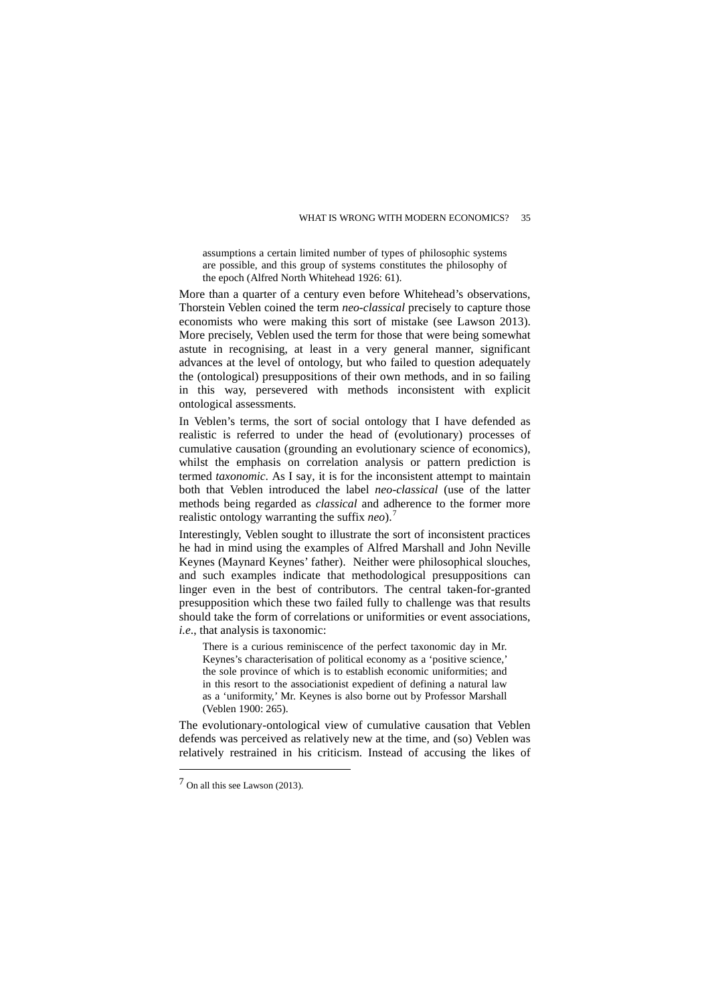assumptions a certain limited number of types of philosophic systems are possible, and this group of systems constitutes the philosophy of the epoch (Alfred North Whitehead 1926: 61).

More than a quarter of a century even before Whitehead's observations, Thorstein Veblen coined the term *neo-classical* precisely to capture those economists who were making this sort of mistake (see Lawson 2013). More precisely, Veblen used the term for those that were being somewhat astute in recognising, at least in a very general manner, significant advances at the level of ontology, but who failed to question adequately the (ontological) presuppositions of their own methods, and in so failing in this way, persevered with methods inconsistent with explicit ontological assessments.

In Veblen's terms, the sort of social ontology that I have defended as realistic is referred to under the head of (evolutionary) processes of cumulative causation (grounding an evolutionary science of economics), whilst the emphasis on correlation analysis or pattern prediction is termed *taxonomic*. As I say, it is for the inconsistent attempt to maintain both that Veblen introduced the label *neo-classical* (use of the latter methods being regarded as *classical* and adherence to the former more realistic ontology warranting the suffix *neo*).[7](#page-9-0)

Interestingly, Veblen sought to illustrate the sort of inconsistent practices he had in mind using the examples of Alfred Marshall and John Neville Keynes (Maynard Keynes' father). Neither were philosophical slouches, and such examples indicate that methodological presuppositions can linger even in the best of contributors. The central taken-for-granted presupposition which these two failed fully to challenge was that results should take the form of correlations or uniformities or event associations, *i.e*., that analysis is taxonomic:

There is a curious reminiscence of the perfect taxonomic day in Mr. Keynes's characterisation of political economy as a 'positive science,' the sole province of which is to establish economic uniformities; and in this resort to the associationist expedient of defining a natural law as a 'uniformity,' Mr. Keynes is also borne out by Professor Marshall (Veblen 1900: 265).

The evolutionary-ontological view of cumulative causation that Veblen defends was perceived as relatively new at the time, and (so) Veblen was relatively restrained in his criticism. Instead of accusing the likes of

<span id="page-9-0"></span><sup>7</sup> On all this see Lawson (2013).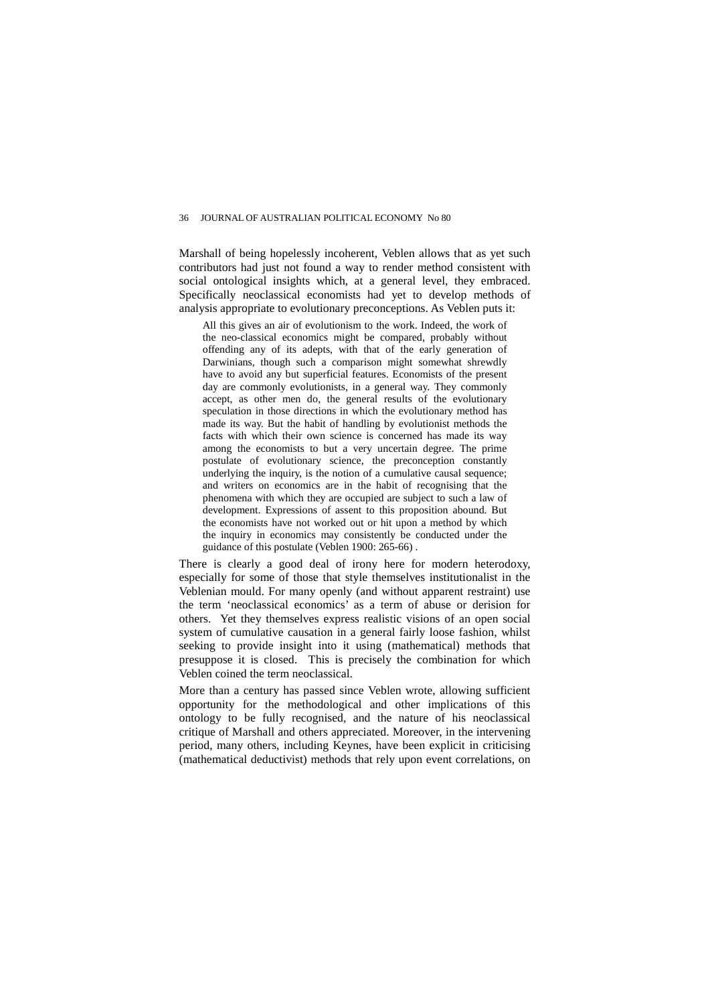Marshall of being hopelessly incoherent, Veblen allows that as yet such contributors had just not found a way to render method consistent with social ontological insights which, at a general level, they embraced. Specifically neoclassical economists had yet to develop methods of analysis appropriate to evolutionary preconceptions. As Veblen puts it:

All this gives an air of evolutionism to the work. Indeed, the work of the neo-classical economics might be compared, probably without offending any of its adepts, with that of the early generation of Darwinians, though such a comparison might somewhat shrewdly have to avoid any but superficial features. Economists of the present day are commonly evolutionists, in a general way. They commonly accept, as other men do, the general results of the evolutionary speculation in those directions in which the evolutionary method has made its way. But the habit of handling by evolutionist methods the facts with which their own science is concerned has made its way among the economists to but a very uncertain degree. The prime postulate of evolutionary science, the preconception constantly underlying the inquiry, is the notion of a cumulative causal sequence; and writers on economics are in the habit of recognising that the phenomena with which they are occupied are subject to such a law of development. Expressions of assent to this proposition abound. But the economists have not worked out or hit upon a method by which the inquiry in economics may consistently be conducted under the guidance of this postulate (Veblen 1900: 265-66) .

There is clearly a good deal of irony here for modern heterodoxy, especially for some of those that style themselves institutionalist in the Veblenian mould. For many openly (and without apparent restraint) use the term 'neoclassical economics' as a term of abuse or derision for others. Yet they themselves express realistic visions of an open social system of cumulative causation in a general fairly loose fashion, whilst seeking to provide insight into it using (mathematical) methods that presuppose it is closed. This is precisely the combination for which Veblen coined the term neoclassical.

More than a century has passed since Veblen wrote, allowing sufficient opportunity for the methodological and other implications of this ontology to be fully recognised, and the nature of his neoclassical critique of Marshall and others appreciated. Moreover, in the intervening period, many others, including Keynes, have been explicit in criticising (mathematical deductivist) methods that rely upon event correlations, on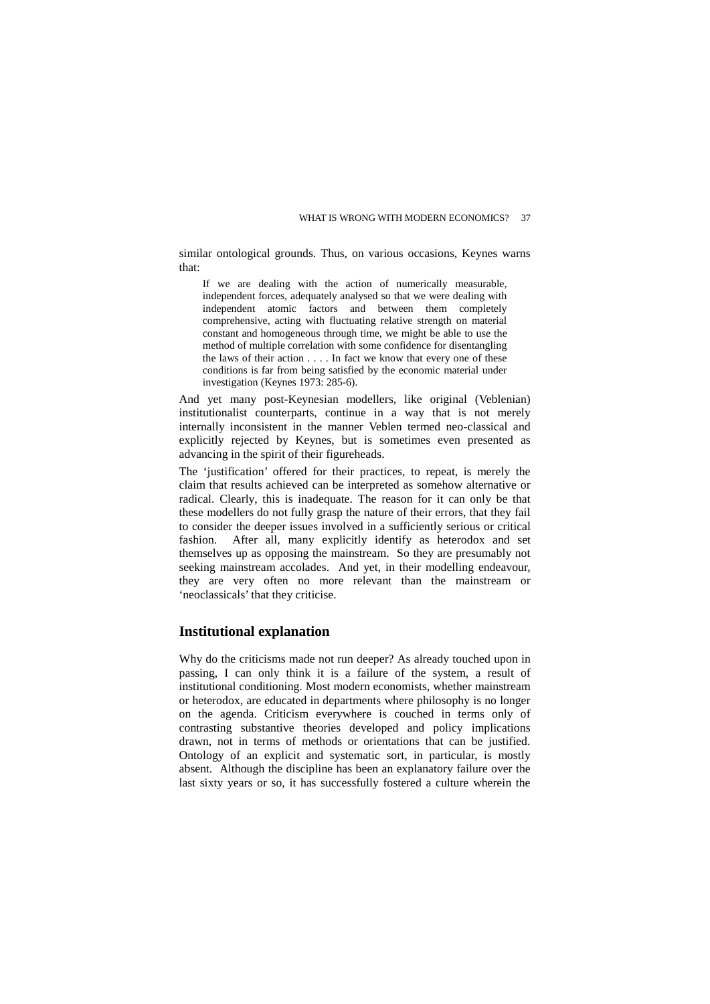similar ontological grounds. Thus, on various occasions, Keynes warns that:

If we are dealing with the action of numerically measurable, independent forces, adequately analysed so that we were dealing with independent atomic factors and between them completely comprehensive, acting with fluctuating relative strength on material constant and homogeneous through time, we might be able to use the method of multiple correlation with some confidence for disentangling the laws of their action . . . . In fact we know that every one of these conditions is far from being satisfied by the economic material under investigation (Keynes 1973: 285-6).

And yet many post-Keynesian modellers, like original (Veblenian) institutionalist counterparts, continue in a way that is not merely internally inconsistent in the manner Veblen termed neo-classical and explicitly rejected by Keynes, but is sometimes even presented as advancing in the spirit of their figureheads.

The 'justification' offered for their practices, to repeat, is merely the claim that results achieved can be interpreted as somehow alternative or radical. Clearly, this is inadequate. The reason for it can only be that these modellers do not fully grasp the nature of their errors, that they fail to consider the deeper issues involved in a sufficiently serious or critical fashion. After all, many explicitly identify as heterodox and set themselves up as opposing the mainstream. So they are presumably not seeking mainstream accolades. And yet, in their modelling endeavour, they are very often no more relevant than the mainstream or 'neoclassicals' that they criticise.

### **Institutional explanation**

Why do the criticisms made not run deeper? As already touched upon in passing, I can only think it is a failure of the system, a result of institutional conditioning. Most modern economists, whether mainstream or heterodox, are educated in departments where philosophy is no longer on the agenda. Criticism everywhere is couched in terms only of contrasting substantive theories developed and policy implications drawn, not in terms of methods or orientations that can be justified. Ontology of an explicit and systematic sort, in particular, is mostly absent. Although the discipline has been an explanatory failure over the last sixty years or so, it has successfully fostered a culture wherein the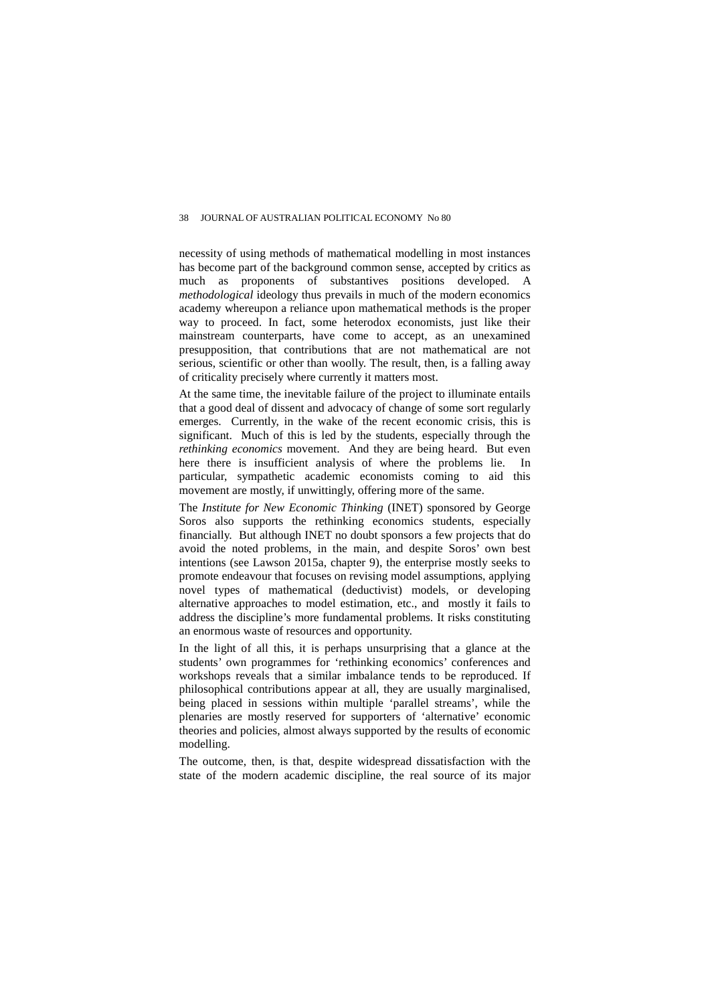necessity of using methods of mathematical modelling in most instances has become part of the background common sense, accepted by critics as much as proponents of substantives positions developed. A *methodological* ideology thus prevails in much of the modern economics academy whereupon a reliance upon mathematical methods is the proper way to proceed. In fact, some heterodox economists, just like their mainstream counterparts, have come to accept, as an unexamined presupposition, that contributions that are not mathematical are not serious, scientific or other than woolly. The result, then, is a falling away of criticality precisely where currently it matters most.

At the same time, the inevitable failure of the project to illuminate entails that a good deal of dissent and advocacy of change of some sort regularly emerges. Currently, in the wake of the recent economic crisis, this is significant. Much of this is led by the students, especially through the *rethinking economics* movement. And they are being heard. But even here there is insufficient analysis of where the problems lie. In particular, sympathetic academic economists coming to aid this movement are mostly, if unwittingly, offering more of the same.

The *Institute for New Economic Thinking* (INET) sponsored by George Soros also supports the rethinking economics students, especially financially. But although INET no doubt sponsors a few projects that do avoid the noted problems, in the main, and despite Soros' own best intentions (see Lawson 2015a, chapter 9), the enterprise mostly seeks to promote endeavour that focuses on revising model assumptions, applying novel types of mathematical (deductivist) models, or developing alternative approaches to model estimation, etc., and mostly it fails to address the discipline's more fundamental problems. It risks constituting an enormous waste of resources and opportunity.

In the light of all this, it is perhaps unsurprising that a glance at the students' own programmes for 'rethinking economics' conferences and workshops reveals that a similar imbalance tends to be reproduced. If philosophical contributions appear at all, they are usually marginalised, being placed in sessions within multiple 'parallel streams', while the plenaries are mostly reserved for supporters of 'alternative' economic theories and policies, almost always supported by the results of economic modelling.

The outcome, then, is that, despite widespread dissatisfaction with the state of the modern academic discipline, the real source of its major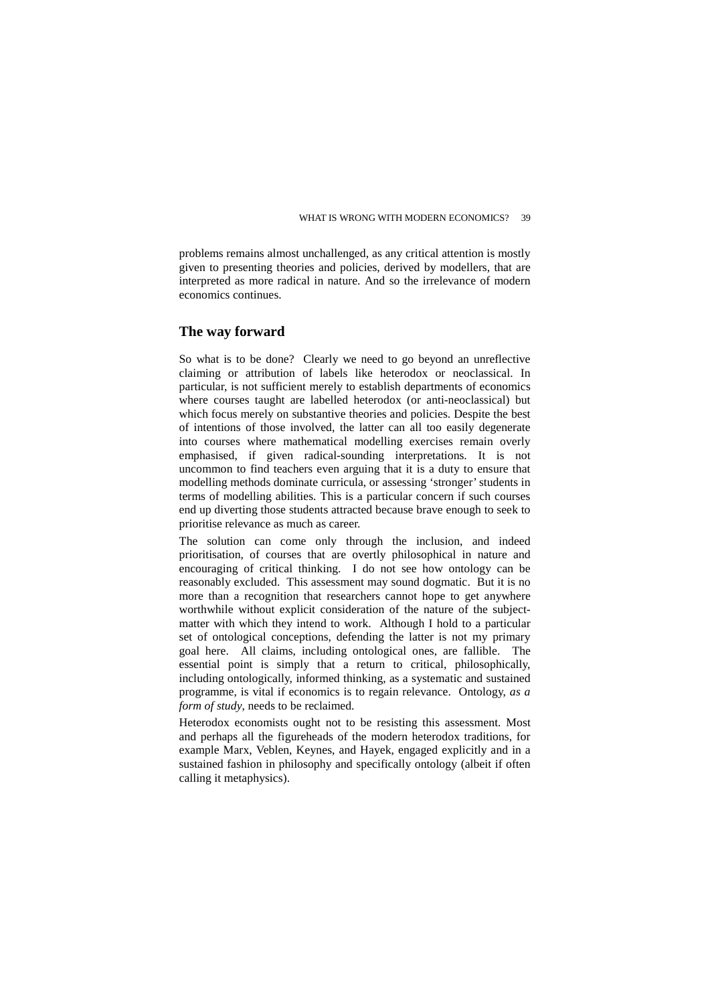problems remains almost unchallenged, as any critical attention is mostly given to presenting theories and policies, derived by modellers, that are interpreted as more radical in nature. And so the irrelevance of modern economics continues.

### **The way forward**

So what is to be done? Clearly we need to go beyond an unreflective claiming or attribution of labels like heterodox or neoclassical. In particular, is not sufficient merely to establish departments of economics where courses taught are labelled heterodox (or anti-neoclassical) but which focus merely on substantive theories and policies. Despite the best of intentions of those involved, the latter can all too easily degenerate into courses where mathematical modelling exercises remain overly emphasised, if given radical-sounding interpretations. It is not uncommon to find teachers even arguing that it is a duty to ensure that modelling methods dominate curricula, or assessing 'stronger' students in terms of modelling abilities. This is a particular concern if such courses end up diverting those students attracted because brave enough to seek to prioritise relevance as much as career.

The solution can come only through the inclusion, and indeed prioritisation, of courses that are overtly philosophical in nature and encouraging of critical thinking. I do not see how ontology can be reasonably excluded. This assessment may sound dogmatic. But it is no more than a recognition that researchers cannot hope to get anywhere worthwhile without explicit consideration of the nature of the subjectmatter with which they intend to work. Although I hold to a particular set of ontological conceptions, defending the latter is not my primary goal here. All claims, including ontological ones, are fallible. The essential point is simply that a return to critical, philosophically, including ontologically, informed thinking, as a systematic and sustained programme, is vital if economics is to regain relevance. Ontology, *as a form of study*, needs to be reclaimed.

Heterodox economists ought not to be resisting this assessment. Most and perhaps all the figureheads of the modern heterodox traditions, for example Marx, Veblen, Keynes, and Hayek, engaged explicitly and in a sustained fashion in philosophy and specifically ontology (albeit if often calling it metaphysics).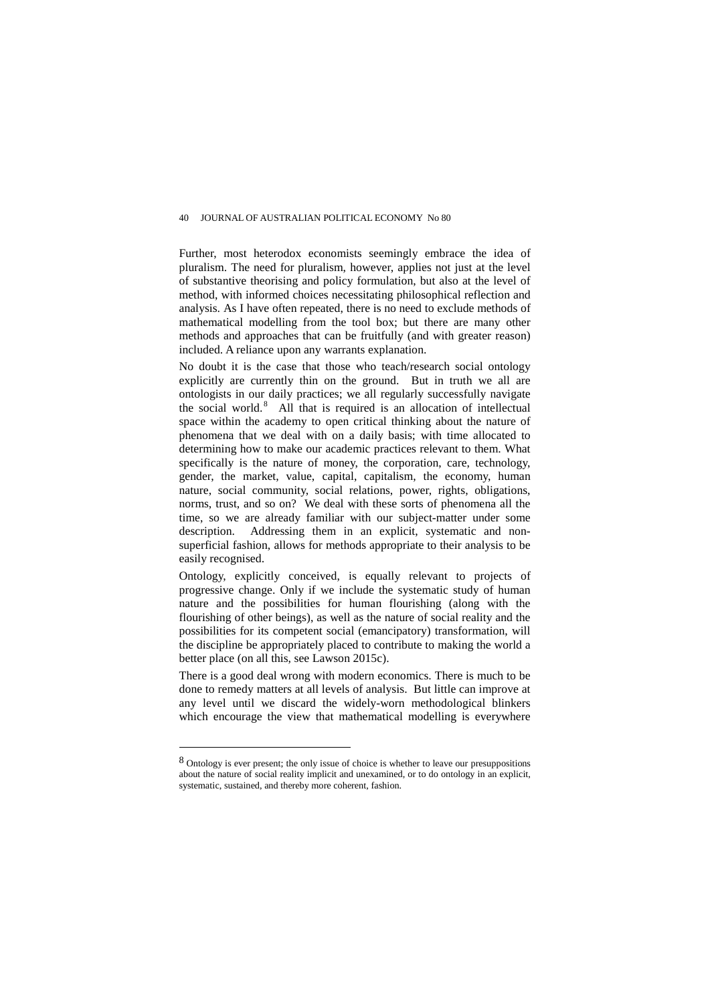Further, most heterodox economists seemingly embrace the idea of pluralism. The need for pluralism, however, applies not just at the level of substantive theorising and policy formulation, but also at the level of method, with informed choices necessitating philosophical reflection and analysis. As I have often repeated, there is no need to exclude methods of mathematical modelling from the tool box; but there are many other methods and approaches that can be fruitfully (and with greater reason) included. A reliance upon any warrants explanation.

No doubt it is the case that those who teach/research social ontology explicitly are currently thin on the ground. But in truth we all are ontologists in our daily practices; we all regularly successfully navigate the social world.<sup>[8](#page-14-0)</sup> All that is required is an allocation of intellectual space within the academy to open critical thinking about the nature of phenomena that we deal with on a daily basis; with time allocated to determining how to make our academic practices relevant to them. What specifically is the nature of money, the corporation, care, technology, gender, the market, value, capital, capitalism, the economy, human nature, social community, social relations, power, rights, obligations, norms, trust, and so on? We deal with these sorts of phenomena all the time, so we are already familiar with our subject-matter under some description. Addressing them in an explicit, systematic and nonsuperficial fashion, allows for methods appropriate to their analysis to be easily recognised.

Ontology, explicitly conceived, is equally relevant to projects of progressive change. Only if we include the systematic study of human nature and the possibilities for human flourishing (along with the flourishing of other beings), as well as the nature of social reality and the possibilities for its competent social (emancipatory) transformation, will the discipline be appropriately placed to contribute to making the world a better place (on all this, see Lawson 2015c).

There is a good deal wrong with modern economics. There is much to be done to remedy matters at all levels of analysis. But little can improve at any level until we discard the widely-worn methodological blinkers which encourage the view that mathematical modelling is everywhere

<span id="page-14-0"></span><sup>8</sup> Ontology is ever present; the only issue of choice is whether to leave our presuppositions about the nature of social reality implicit and unexamined, or to do ontology in an explicit, systematic, sustained, and thereby more coherent, fashion.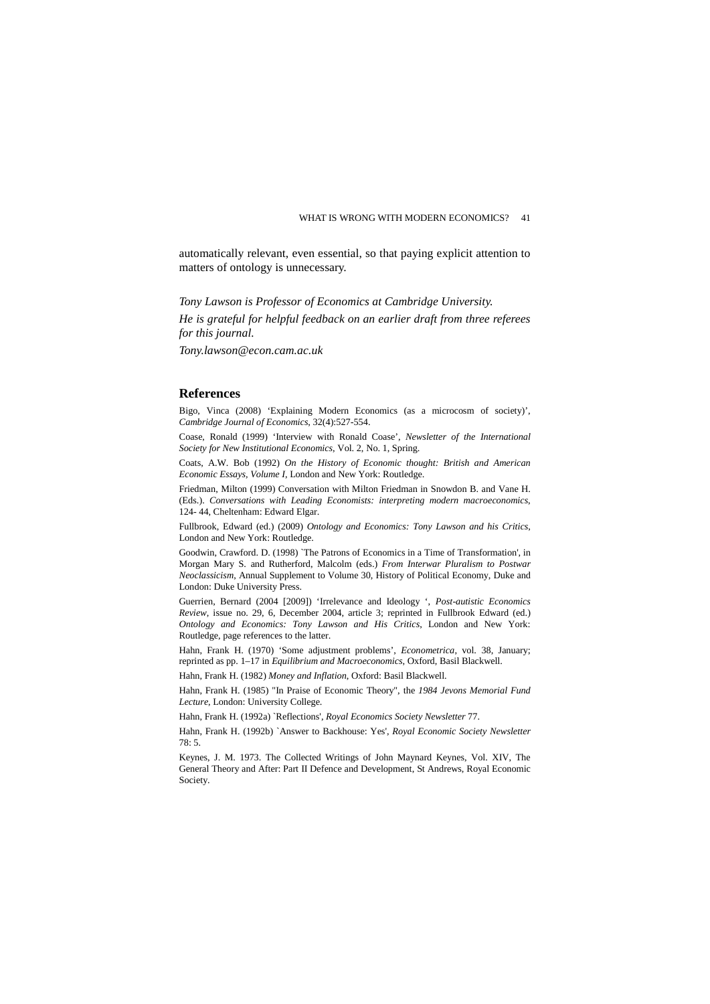automatically relevant, even essential, so that paying explicit attention to matters of ontology is unnecessary.

*Tony Lawson is Professor of Economics at Cambridge University.* 

*He is grateful for helpful feedback on an earlier draft from three referees for this journal.*

*Tony.lawson@econ.cam.ac.uk*

#### **References**

Bigo, Vinca (2008) 'Explaining Modern Economics (as a microcosm of society)', *Cambridge Journal of Economics*, 32(4):527-554.

Coase, Ronald (1999) 'Interview with Ronald Coase', *Newsletter of the International Society for New Institutional Economics*, Vol. 2, No. 1, Spring.

Coats, A.W. Bob (1992) *On the History of Economic thought: British and American Economic Essays, Volume I*, London and New York: Routledge.

Friedman, Milton (1999) Conversation with Milton Friedman in Snowdon B. and Vane H. (Eds.). *Conversations with Leading Economists: interpreting modern macroeconomics*, 124- 44, Cheltenham: Edward Elgar.

Fullbrook, Edward (ed.) (2009) *Ontology and Economics: Tony Lawson and his Critics*, London and New York: Routledge.

Goodwin, Crawford. D. (1998) `The Patrons of Economics in a Time of Transformation', in Morgan Mary S. and Rutherford, Malcolm (eds.) *From Interwar Pluralism to Postwar Neoclassicism*, Annual Supplement to Volume 30, History of Political Economy, Duke and London: Duke University Press.

Guerrien, Bernard (2004 [2009]) 'Irrelevance and Ideology ', *Post-autistic Economics Review*, issue no. 29, 6, December 2004, article 3; reprinted in Fullbrook Edward (ed.) *Ontology and Economics: Tony Lawson and His Critics*, London and New York: Routledge, page references to the latter.

Hahn, Frank H. (1970) 'Some adjustment problems', *Econometrica*, vol. 38, January; reprinted as pp. 1–17 in *Equilibrium and Macroeconomics*, Oxford, Basil Blackwell.

Hahn, Frank H. (1982) *Money and Inflation*, Oxford: Basil Blackwell.

Hahn, Frank H. (1985) "In Praise of Economic Theory", the *1984 Jevons Memorial Fund Lecture*, London: University College.

Hahn, Frank H. (1992a) `Reflections', *Royal Economics Society Newsletter* 77.

Hahn, Frank H. (1992b) `Answer to Backhouse: Yes', *Royal Economic Society Newsletter*  78: 5.

Keynes, J. M. 1973. The Collected Writings of John Maynard Keynes, Vol. XIV, The General Theory and After: Part II Defence and Development, St Andrews, Royal Economic Society.